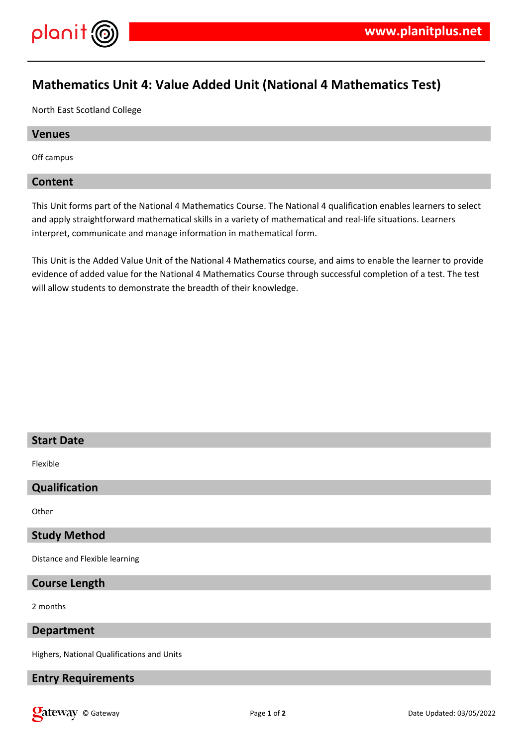

# **Mathematics Unit 4: Value Added Unit (National 4 Mathematics Test)**

North East Scotland College

## **Venues**

Off campus

## **Content**

This Unit forms part of the National 4 Mathematics Course. The National 4 qualification enables learners to select and apply straightforward mathematical skills in a variety of mathematical and real-life situations. Learners interpret, communicate and manage information in mathematical form.

This Unit is the Added Value Unit of the National 4 Mathematics course, and aims to enable the learner to provide evidence of added value for the National 4 Mathematics Course through successful completion of a test. The test will allow students to demonstrate the breadth of their knowledge.

## **Start Date**

Flexible

## **Qualification**

**Other** 

## **Study Method**

Distance and Flexible learning

## **Course Length**

2 months

#### **Department**

Highers, National Qualifications and Units

## **Entry Requirements**

**Call Community** Called: 03/05/2022 **Page 1** of **2** Date Updated: 03/05/2022 **Date Updated: 03/05/2022**